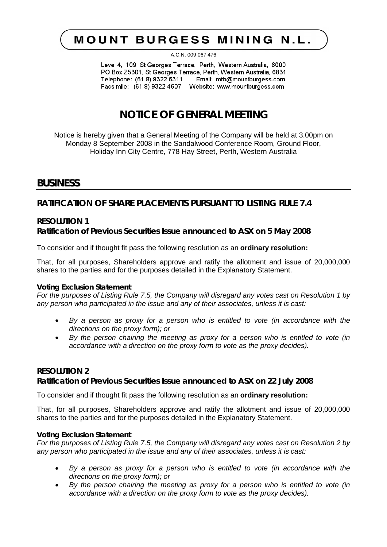# **MOUNT BURGESS MINING N.L.**

A.C.N. 009 067 476

Level 4, 109 St Georges Terrace, Perth, Western Australia, 6000 PO Box Z5301, St Georges Terrace, Perth, Western Australia, 6831 Telephone: (61 8) 9322 6311 Email: mtb@mountburgess.com Facsimile: (61 8) 9322 4607 Website: www.mountburgess.com

## **NOTICE OF GENERAL MEETING**

Notice is hereby given that a General Meeting of the Company will be held at 3.00pm on Monday 8 September 2008 in the Sandalwood Conference Room, Ground Floor, Holiday Inn City Centre, 778 Hay Street, Perth, Western Australia

### **BUSINESS**

**RATIFICATION OF SHARE PLACEMENTS PURSUANT TO LISTING RULE 7.4**

### **RESOLUTION 1 Ratification of Previous Securities Issue announced to ASX on 5 May 2008**

To consider and if thought fit pass the following resolution as an **ordinary resolution:**

That, for all purposes, Shareholders approve and ratify the allotment and issue of 20,000,000 shares to the parties and for the purposes detailed in the Explanatory Statement.

### *Voting Exclusion Statement*

*For the purposes of Listing Rule 7.5, the Company will disregard any votes cast on Resolution 1 by any person who participated in the issue and any of their associates, unless it is cast:*

- *By a person as proxy for a person who is entitled to vote (in accordance with the directions on the proxy form); or*
- *By the person chairing the meeting as proxy for a person who is entitled to vote (in accordance with a direction on the proxy form to vote as the proxy decides).*

### **RESOLUTION 2**

**Ratification of Previous Securities Issue announced to ASX on 22 July 2008**

To consider and if thought fit pass the following resolution as an **ordinary resolution:**

That, for all purposes, Shareholders approve and ratify the allotment and issue of 20,000,000 shares to the parties and for the purposes detailed in the Explanatory Statement.

### *Voting Exclusion Statement*

*For the purposes of Listing Rule 7.5, the Company will disregard any votes cast on Resolution 2 by any person who participated in the issue and any of their associates, unless it is cast:*

- *By a person as proxy for a person who is entitled to vote (in accordance with the directions on the proxy form); or*
- *By the person chairing the meeting as proxy for a person who is entitled to vote (in accordance with a direction on the proxy form to vote as the proxy decides).*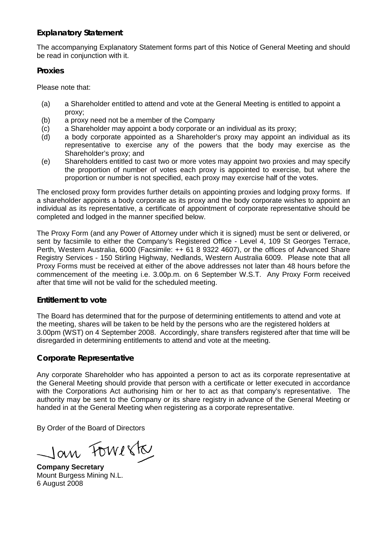### **Explanatory Statement**

The accompanying Explanatory Statement forms part of this Notice of General Meeting and should be read in conjunction with it.

### **Proxies**

Please note that:

- (a) a Shareholder entitled to attend and vote at the General Meeting is entitled to appoint a proxy;
- (b) a proxy need not be a member of the Company
- (c) a Shareholder may appoint a body corporate or an individual as its proxy;
- (d) a body corporate appointed as a Shareholder's proxy may appoint an individual as its representative to exercise any of the powers that the body may exercise as the Shareholder's proxy; and
- (e) Shareholders entitled to cast two or more votes may appoint two proxies and may specify the proportion of number of votes each proxy is appointed to exercise, but where the proportion or number is not specified, each proxy may exercise half of the votes.

The enclosed proxy form provides further details on appointing proxies and lodging proxy forms. If a shareholder appoints a body corporate as its proxy and the body corporate wishes to appoint an individual as its representative, a certificate of appointment of corporate representative should be completed and lodged in the manner specified below.

The Proxy Form (and any Power of Attorney under which it is signed) must be sent or delivered, or sent by facsimile to either the Company's Registered Office - Level 4, 109 St Georges Terrace, Perth, Western Australia, 6000 (Facsimile: ++ 61 8 9322 4607), or the offices of Advanced Share Registry Services - 150 Stirling Highway, Nedlands, Western Australia 6009. Please note that all Proxy Forms must be received at either of the above addresses not later than 48 hours before the commencement of the meeting i.e. 3.00p.m. on 6 September W.S.T. Any Proxy Form received after that time will not be valid for the scheduled meeting.

### **Entitlement to vote**

The Board has determined that for the purpose of determining entitlements to attend and vote at the meeting, shares will be taken to be held by the persons who are the registered holders at 3.00pm (WST) on 4 September 2008. Accordingly, share transfers registered after that time will be disregarded in determining entitlements to attend and vote at the meeting.

### **Corporate Representative**

Any corporate Shareholder who has appointed a person to act as its corporate representative at the General Meeting should provide that person with a certificate or letter executed in accordance with the Corporations Act authorising him or her to act as that company's representative. The authority may be sent to the Company or its share registry in advance of the General Meeting or handed in at the General Meeting when registering as a corporate representative.

By Order of the Board of Directors

Jan Fowerk

**Company Secretary** Mount Burgess Mining N.L. 6 August 2008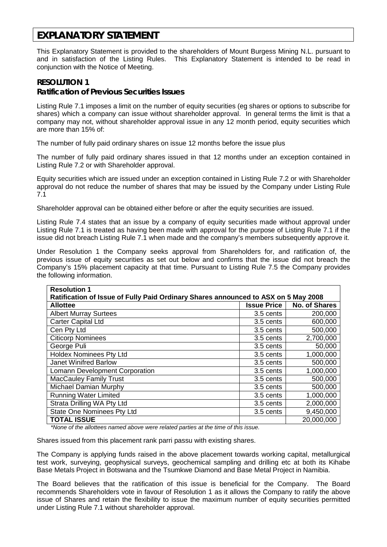### **EXPLANATORY STATEMENT**

This Explanatory Statement is provided to the shareholders of Mount Burgess Mining N.L. pursuant to and in satisfaction of the Listing Rules. This Explanatory Statement is intended to be read in conjunction with the Notice of Meeting.

### **RESOLUTION 1**

**Ratification of Previous Securities Issues** 

Listing Rule 7.1 imposes a limit on the number of equity securities (eg shares or options to subscribe for shares) which a company can issue without shareholder approval. In general terms the limit is that a company may not, without shareholder approval issue in any 12 month period, equity securities which are more than 15% of:

The number of fully paid ordinary shares on issue 12 months before the issue plus

The number of fully paid ordinary shares issued in that 12 months under an exception contained in Listing Rule 7.2 or with Shareholder approval.

Equity securities which are issued under an exception contained in Listing Rule 7.2 or with Shareholder approval do not reduce the number of shares that may be issued by the Company under Listing Rule 7.1

Shareholder approval can be obtained either before or after the equity securities are issued.

Listing Rule 7.4 states that an issue by a company of equity securities made without approval under Listing Rule 7.1 is treated as having been made with approval for the purpose of Listing Rule 7.1 if the issue did not breach Listing Rule 7.1 when made and the company's members subsequently approve it.

Under Resolution 1 the Company seeks approval from Shareholders for, and ratification of, the previous issue of equity securities as set out below and confirms that the issue did not breach the Company's 15% placement capacity at that time. Pursuant to Listing Rule 7.5 the Company provides the following information.

| <b>Resolution 1</b>                                                                |                    |                      |  |
|------------------------------------------------------------------------------------|--------------------|----------------------|--|
| Ratification of Issue of Fully Paid Ordinary Shares announced to ASX on 5 May 2008 |                    |                      |  |
| <b>Allottee</b>                                                                    | <b>Issue Price</b> | <b>No. of Shares</b> |  |
| <b>Albert Murray Surtees</b>                                                       | 3.5 cents          | 200,000              |  |
| <b>Carter Capital Ltd</b>                                                          | 3.5 cents          | 600,000              |  |
| Cen Pty Ltd                                                                        | 3.5 cents          | 500,000              |  |
| <b>Citicorp Nominees</b>                                                           | 3.5 cents          | 2,700,000            |  |
| George Puli                                                                        | 3.5 cents          | 50,000               |  |
| <b>Holdex Nominees Pty Ltd</b>                                                     | 3.5 cents          | 1,000,000            |  |
| <b>Janet Winifred Barlow</b>                                                       | 3.5 cents          | 500,000              |  |
| Lomann Development Corporation                                                     | 3.5 cents          | 1,000,000            |  |
| <b>MacCauley Family Trust</b>                                                      | 3.5 cents          | 500,000              |  |
| Michael Damian Murphy                                                              | 3.5 cents          | 500,000              |  |
| <b>Running Water Limited</b>                                                       | 3.5 cents          | 1,000,000            |  |
| Strata Drilling WA Pty Ltd                                                         | 3.5 cents          | 2,000,000            |  |
| <b>State One Nominees Pty Ltd</b>                                                  | 3.5 cents          | 9,450,000            |  |
| <b>TOTAL ISSUE</b>                                                                 |                    | 20,000,000           |  |

*\*None of the allottees named above were related parties at the time of this issue.*

Shares issued from this placement rank parri passu with existing shares.

The Company is applying funds raised in the above placement towards working capital, metallurgical test work, surveying, geophysical surveys, geochemical sampling and drilling etc at both its Kihabe Base Metals Project in Botswana and the Tsumkwe Diamond and Base Metal Project in Namibia.

The Board believes that the ratification of this issue is beneficial for the Company. The Board recommends Shareholders vote in favour of Resolution 1 as it allows the Company to ratify the above issue of Shares and retain the flexibility to issue the maximum number of equity securities permitted under Listing Rule 7.1 without shareholder approval.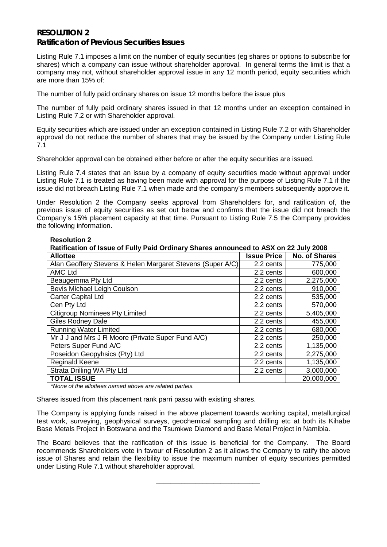### **RESOLUTION 2 Ratification of Previous Securities Issues**

Listing Rule 7.1 imposes a limit on the number of equity securities (eg shares or options to subscribe for shares) which a company can issue without shareholder approval. In general terms the limit is that a company may not, without shareholder approval issue in any 12 month period, equity securities which are more than 15% of:

The number of fully paid ordinary shares on issue 12 months before the issue plus

The number of fully paid ordinary shares issued in that 12 months under an exception contained in Listing Rule 7.2 or with Shareholder approval.

Equity securities which are issued under an exception contained in Listing Rule 7.2 or with Shareholder approval do not reduce the number of shares that may be issued by the Company under Listing Rule 7.1

Shareholder approval can be obtained either before or after the equity securities are issued.

Listing Rule 7.4 states that an issue by a company of equity securities made without approval under Listing Rule 7.1 is treated as having been made with approval for the purpose of Listing Rule 7.1 if the issue did not breach Listing Rule 7.1 when made and the company's members subsequently approve it.

Under Resolution 2 the Company seeks approval from Shareholders for, and ratification of, the previous issue of equity securities as set out below and confirms that the issue did not breach the Company's 15% placement capacity at that time. Pursuant to Listing Rule 7.5 the Company provides the following information.

| <b>Resolution 2</b>                                                                  |                    |                      |  |
|--------------------------------------------------------------------------------------|--------------------|----------------------|--|
| Ratification of Issue of Fully Paid Ordinary Shares announced to ASX on 22 July 2008 |                    |                      |  |
| <b>Allottee</b>                                                                      | <b>Issue Price</b> | <b>No. of Shares</b> |  |
| Alan Geoffery Stevens & Helen Margaret Stevens (Super A/C)                           | 2.2 cents          | 775,000              |  |
| <b>AMC Ltd</b>                                                                       | 2.2 cents          | 600,000              |  |
| Beaugemma Pty Ltd                                                                    | 2.2 cents          | 2,275,000            |  |
| Bevis Michael Leigh Coulson                                                          | 2.2 cents          | 910,000              |  |
| <b>Carter Capital Ltd</b>                                                            | 2.2 cents          | 535,000              |  |
| Cen Pty Ltd                                                                          | 2.2 cents          | 570,000              |  |
| <b>Citigroup Nominees Pty Limited</b>                                                | 2.2 cents          | 5,405,000            |  |
| <b>Giles Rodney Dale</b>                                                             | 2.2 cents          | 455,000              |  |
| <b>Running Water Limited</b>                                                         | 2.2 cents          | 680,000              |  |
| Mr J J and Mrs J R Moore (Private Super Fund A/C)                                    | 2.2 cents          | 250,000              |  |
| Peters Super Fund A/C                                                                | 2.2 cents          | 1,135,000            |  |
| Poseidon Geopyhsics (Pty) Ltd                                                        | 2.2 cents          | 2,275,000            |  |
| <b>Reginald Keene</b>                                                                | 2.2 cents          | 1,135,000            |  |
| Strata Drilling WA Pty Ltd                                                           | 2.2 cents          | 3,000,000            |  |
| <b>TOTAL ISSUE</b>                                                                   |                    | 20,000,000           |  |

*\*None of the allottees named above are related parties.*

Shares issued from this placement rank parri passu with existing shares.

The Company is applying funds raised in the above placement towards working capital, metallurgical test work, surveying, geophysical surveys, geochemical sampling and drilling etc at both its Kihabe Base Metals Project in Botswana and the Tsumkwe Diamond and Base Metal Project in Namibia.

The Board believes that the ratification of this issue is beneficial for the Company. The Board recommends Shareholders vote in favour of Resolution 2 as it allows the Company to ratify the above issue of Shares and retain the flexibility to issue the maximum number of equity securities permitted under Listing Rule 7.1 without shareholder approval.

\_\_\_\_\_\_\_\_\_\_\_\_\_\_\_\_\_\_\_\_\_\_\_\_\_\_\_\_\_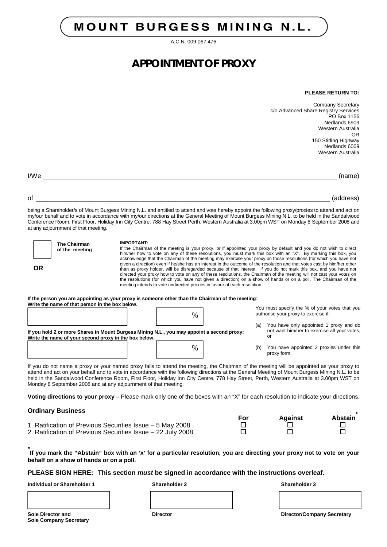# **MOUNT BURGESS MINING N.L.**

A.C.N. 009 067 476

## **APPOINTMENT OF PROXY**

#### **PLEASE RETURN TO:**

Company Secretary c/o Advanced Share Registry Services  $PO$  Box 1156 Nedlands 6909 Western Australia OR 150 Stirling Highway Nedlands 6009 Western Australia

**OR**

I/We \_\_\_\_\_\_\_\_\_\_\_\_\_\_\_\_\_\_\_\_\_\_\_\_\_\_\_\_\_\_\_\_\_\_\_\_\_\_\_\_\_\_\_\_\_\_\_\_\_\_\_\_\_\_\_\_\_\_\_\_\_\_\_\_\_\_\_\_\_\_\_\_\_\_\_\_\_\_\_\_\_\_ (name)

of \_\_\_\_\_\_\_\_\_\_\_\_\_\_\_\_\_\_\_\_\_\_\_\_\_\_\_\_\_\_\_\_\_\_\_\_\_\_\_\_\_\_\_\_\_\_\_\_\_\_\_\_\_\_\_\_\_\_\_\_\_\_\_\_\_\_\_\_\_\_\_\_\_\_\_\_\_\_\_\_\_\_ (address)

being a Shareholder/s of Mount Burgess Mining N.L. and entitled to attend and vote hereby appoint the following proxy/proxies to attend and act on my/our behalf and to vote in accordance with my/our directions at the General Meeting of Mount Burgess Mining N.L. to be held in the Sandalwood Conference Room, First Floor, Holiday Inn City Centre, 788 Hay Street Perth, Western Australia at 3.00pm WST on Monday 8 September 2008 and at any adjournment of that meeting.

**The Chairman of the meeting**

#### **IMPORTANT:**

If the Chairman of the meeting is your proxy, or if appointed your proxy by default and you do not wish to direct him/her how to vote on any of these resolutions, you must mark this box with an "X". By marking this box, you acknowledge that the Chairman of the meeting may exercise your proxy on those resolutions (for which you have not given a direction) even if he/she has an interest in the outcome of the resolution and that votes cast by him/her other than as proxy holder, will be disregarded because of that interest. If you do not mark this box, and you have not directed your proxy how to vote on any of these resolutions, the Chairman of the meeting will not cast your votes on the resolutions (for which you have not given a direction) on a show of hands or on a poll. The Chairman of the meeting intends to vote undirected proxies in favour of each resolution

| If the person you are appointing as your proxy is someone other than the Chairman of the meeting: |  |
|---------------------------------------------------------------------------------------------------|--|
| Write the name of that person in the box below.                                                   |  |

| Write the name of that person in the box below.                                                                                                     | $\%$ |     | You must specify the % of your votes that you<br>authorise your proxy to exercise if:        |
|-----------------------------------------------------------------------------------------------------------------------------------------------------|------|-----|----------------------------------------------------------------------------------------------|
| If you hold 2 or more Shares in Mount Burgess Mining N.L., you may appoint a second proxy:<br>Write the name of your second proxy in the box below. |      | (a) | You have only appointed 1 proxy and do<br>not want him/her to exercise all your votes;<br>Οl |
|                                                                                                                                                     | $\%$ | (b) | You have appointed 2 proxies under this<br>proxy form.                                       |

If you do not name a proxy or your named proxy fails to attend the meeting, the Chairman of the meeting will be appointed as your proxy to attend and act on your behalf and to vote in accordance with the following directions at the General Meeting of Mount Burgess Mining N.L. to be held in the Sandalwood Conference Room, First Floor, Holiday Inn City Centre, 778 Hay Street, Perth, Western Australia at 3.00pm WST on Monday 8 September 2008 and at any adjournment of that meeting.

**Voting directions to your proxy** – Please mark only one of the boxes with an "X" for each resolution to indicate your directions.

#### **Ordinary Business**

| <b>PRODUCED</b> PUBLICSS                                    |     |         |         |
|-------------------------------------------------------------|-----|---------|---------|
|                                                             | For | Against | Abstain |
| 1. Ratification of Previous Securities Issue – 5 May 2008   |     |         |         |
| 2. Ratification of Previous Securities Issue – 22 July 2008 |     |         |         |

**\* If you mark the "Abstain" box with an 'x' for a particular resolution, you are directing your proxy not to vote on your behalf on a show of hands or on a poll.** 

#### **PLEASE SIGN HERE: This section** *must* **be signed in accordance with the instructions overleaf.**

**Individual or Shareholder 1 Shareholder 2 Shareholder 3**

**Sole Company Secretary**

**Sole Director and Director Director/Company Secretary**